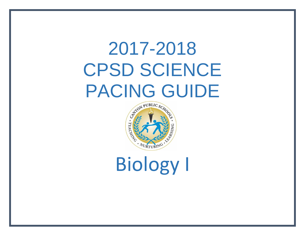# 2017-2018 CPSD SCIENCE PACING GUIDE



Biology I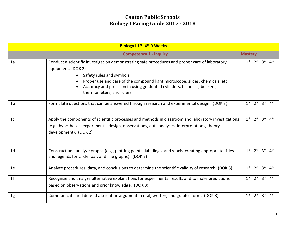|                                                 | Biology I 1 <sup>st</sup> - 4 <sup>th</sup> 9 Weeks                                                                                                                                                                                                                                                                                        |                      |                      |       |    |
|-------------------------------------------------|--------------------------------------------------------------------------------------------------------------------------------------------------------------------------------------------------------------------------------------------------------------------------------------------------------------------------------------------|----------------------|----------------------|-------|----|
| <b>Competency 1 - Inquiry</b><br><b>Mastery</b> |                                                                                                                                                                                                                                                                                                                                            |                      |                      |       |    |
| 1a                                              | Conduct a scientific investigation demonstrating safe procedures and proper care of laboratory<br>equipment. (DOK 2)<br>• Safety rules and symbols<br>Proper use and care of the compound light microscope, slides, chemicals, etc.<br>Accuracy and precision in using graduated cylinders, balances, beakers,<br>thermometers, and rulers | $1^*$ 2 <sup>*</sup> |                      | $3^*$ | 4* |
| 1 <sub>b</sub>                                  | Formulate questions that can be answered through research and experimental design. (DOK 3)                                                                                                                                                                                                                                                 | $1^*$ 2 <sup>*</sup> |                      | $3^*$ | 4* |
| 1 <sub>c</sub>                                  | Apply the components of scientific processes and methods in classroom and laboratory investigations<br>(e.g., hypotheses, experimental design, observations, data analyses, interpretations, theory<br>development). (DOK 2)                                                                                                               |                      | $1* 2* 3* 4*$        |       |    |
| 1 <sub>d</sub>                                  | Construct and analyze graphs (e.g., plotting points, labeling x-and y-axis, creating appropriate titles<br>and legends for circle, bar, and line graphs). (DOK 2)                                                                                                                                                                          |                      | $1* 2* 3* 4*$        |       |    |
| 1e                                              | Analyze procedures, data, and conclusions to determine the scientific validity of research. (DOK 3)                                                                                                                                                                                                                                        |                      | $1^*$ $2^*$ $3^*$    |       | 4* |
| 1 <sup>f</sup>                                  | Recognize and analyze alternative explanations for experimental results and to make predictions<br>based on observations and prior knowledge. (DOK 3)                                                                                                                                                                                      | $1*$                 | $2^*$ 3 <sup>*</sup> |       | 4* |
| 1 <sub>g</sub>                                  | Communicate and defend a scientific argument in oral, written, and graphic form. (DOK 3)                                                                                                                                                                                                                                                   | $1*$                 | $2^*$                | $3^*$ | 4* |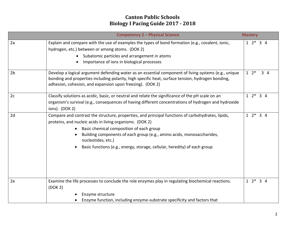|                | <b>Competency 2 - Physical Science</b>                                                                                                                                                                                                                                                                                                                                                 | <b>Mastery</b>    |
|----------------|----------------------------------------------------------------------------------------------------------------------------------------------------------------------------------------------------------------------------------------------------------------------------------------------------------------------------------------------------------------------------------------|-------------------|
| 2a             | Explain and compare with the use of examples the types of bond formation (e.g., covalent, ionic,<br>hydrogen, etc.) between or among atoms. (DOK 2)<br>Subatomic particles and arrangement in atoms<br>Importance of ions in biological processes                                                                                                                                      | $12*34$           |
| 2 <sub>b</sub> | Develop a logical argument defending water as an essential component of living systems (e.g., unique<br>bonding and properties including polarity, high specific heat, surface tension, hydrogen bonding,<br>adhesion, cohesion, and expansion upon freezing). (DOK 2)                                                                                                                 | $1 \t2^*$<br>34   |
| 2c             | Classify solutions as acidic, basic, or neutral and relate the significance of the pH scale on an<br>organism's survival (e.g., consequences of having different concentrations of hydrogen and hydroxide<br>ions). (DOK 2)                                                                                                                                                            | $1 \t2^* \t3 \t4$ |
| 2d             | Compare and contrast the structure, properties, and principal functions of carbohydrates, lipids,<br>proteins, and nucleic acids in living organisms. (DOK 2)<br>Basic chemical composition of each group<br>Building components of each group (e.g., amino acids, monosaccharides,<br>nucleotides, etc.)<br>Basic functions (e.g., energy, storage, cellular, heredity) of each group | $12*34$           |
| 2e             | Examine the life processes to conclude the role enzymes play in regulating biochemical reactions.<br>(DOK 2)<br>Enzyme structure<br>Enzyme function, including enzyme-substrate specificity and factors that                                                                                                                                                                           | $1 \t2^* \t3 \t4$ |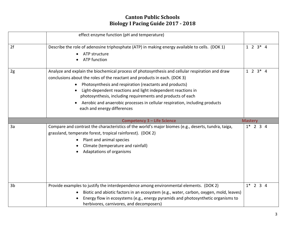|    | effect enzyme function (pH and temperature)                                                                                                                                                                                                                                                                                                                                                                                                                                          |                 |
|----|--------------------------------------------------------------------------------------------------------------------------------------------------------------------------------------------------------------------------------------------------------------------------------------------------------------------------------------------------------------------------------------------------------------------------------------------------------------------------------------|-----------------|
| 2f | Describe the role of adenosine triphosphate (ATP) in making energy available to cells. (DOK 1)<br>ATP structure<br><b>ATP</b> function<br>$\bullet$                                                                                                                                                                                                                                                                                                                                  | $1 \t2 \t3 * 4$ |
| 2g | Analyze and explain the biochemical process of photosynthesis and cellular respiration and draw<br>conclusions about the roles of the reactant and products in each. (DOK 3)<br>Photosynthesis and respiration (reactants and products)<br>Light-dependent reactions and light independent reactions in<br>photosynthesis, including requirements and products of each<br>Aerobic and anaerobic processes in cellular respiration, including products<br>each and energy differences | $1 \t2 \t3 * 4$ |
|    | <b>Competency 3 - Life Science</b>                                                                                                                                                                                                                                                                                                                                                                                                                                                   | <b>Mastery</b>  |
| 3a | Compare and contrast the characteristics of the world's major biomes (e.g., deserts, tundra, taiga,<br>grassland, temperate forest, tropical rainforest). (DOK 2)<br>Plant and animal species<br>Climate (temperature and rainfall)<br>Adaptations of organisms                                                                                                                                                                                                                      | $1*$ 2 3 4      |
| 3b | Provide examples to justify the interdependence among environmental elements. (DOK 2)<br>Biotic and abiotic factors in an ecosystem (e.g., water, carbon, oxygen, mold, leaves)<br>Energy flow in ecosystems (e.g., energy pyramids and photosynthetic organisms to<br>herbivores, carnivores, and decomposers)                                                                                                                                                                      | $1*$ 2 3 4      |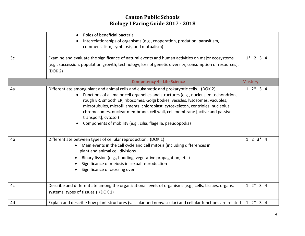|                | Roles of beneficial bacteria<br>Interrelationships of organisms (e.g., cooperation, predation, parasitism,<br>commensalism, symbiosis, and mutualism)                                                                                                                                                                                                                                                                                                                                                                        |                 |
|----------------|------------------------------------------------------------------------------------------------------------------------------------------------------------------------------------------------------------------------------------------------------------------------------------------------------------------------------------------------------------------------------------------------------------------------------------------------------------------------------------------------------------------------------|-----------------|
| 3c             | Examine and evaluate the significance of natural events and human activities on major ecosystems<br>(e.g., succession, population growth, technology, loss of genetic diversity, consumption of resources).<br>(DOK 2)                                                                                                                                                                                                                                                                                                       | $1*$ 2 3 4      |
|                | <b>Competency 4 - Life Science</b>                                                                                                                                                                                                                                                                                                                                                                                                                                                                                           | <b>Mastery</b>  |
| 4a             | Differentiate among plant and animal cells and eukaryotic and prokaryotic cells. (DOK 2)<br>• Functions of all major cell organelles and structures (e.g., nucleus, mitochondrion,<br>rough ER, smooth ER, ribosomes, Golgi bodies, vesicles, lysosomes, vacuoles,<br>microtubules, microfiliaments, chloroplast, cytoskeleton, centrioles, nucleolus,<br>chromosomes, nuclear membrane, cell wall, cell membrane [active and passive<br>transport], cytosol)<br>Components of mobility (e.g., cilia, flagella, pseudopodia) | $12*34$         |
| 4 <sub>b</sub> | Differentiate between types of cellular reproduction. (DOK 1)<br>Main events in the cell cycle and cell mitosis (including differences in<br>plant and animal cell divisions<br>Binary fission (e.g., budding, vegetative propagation, etc.)<br>Significance of meiosis in sexual reproduction<br>Significance of crossing over                                                                                                                                                                                              | $1 \t2 \t3 * 4$ |
| 4c             | Describe and differentiate among the organizational levels of organisms (e.g., cells, tissues, organs,<br>systems, types of tissues.) (DOK 1)                                                                                                                                                                                                                                                                                                                                                                                | $12*34$         |
| 4d             | Explain and describe how plant structures (vascular and nonvascular) and cellular functions are related                                                                                                                                                                                                                                                                                                                                                                                                                      | $12*34$         |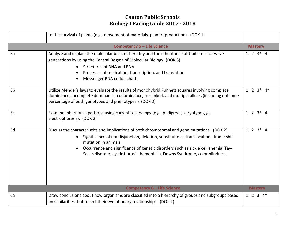|    | to the survival of plants (e.g., movement of materials, plant reproduction). (DOK 1)                                                                                                                                                                                                                                                                                            |                   |  |
|----|---------------------------------------------------------------------------------------------------------------------------------------------------------------------------------------------------------------------------------------------------------------------------------------------------------------------------------------------------------------------------------|-------------------|--|
|    | <b>Competency 5 - Life Science</b>                                                                                                                                                                                                                                                                                                                                              | <b>Mastery</b>    |  |
| 5a | Analyze and explain the molecular basis of heredity and the inheritance of traits to successive<br>generations by using the Central Dogma of Molecular Biology. (DOK 3)<br>Structures of DNA and RNA<br>Processes of replication, transcription, and translation<br>Messenger RNA codon charts                                                                                  | $1 \t2 \t3 * 4$   |  |
| 5b | Utilize Mendel's laws to evaluate the results of monohybrid Punnett squares involving complete<br>dominance, incomplete dominance, codominance, sex linked, and multiple alleles (including outcome<br>percentage of both genotypes and phenotypes.) (DOK 2)                                                                                                                    | $1 2 3* 4*$       |  |
| 5c | Examine inheritance patterns using current technology (e.g., pedigrees, karyotypes, gel<br>electrophoresis). (DOK 2)                                                                                                                                                                                                                                                            |                   |  |
| 5d | Discuss the characteristics and implications of both chromosomal and gene mutations. (DOK 2)<br>Significance of nondisjunction, deletion, substitutions, translocation, frame shift<br>mutation in animals<br>Occurrence and significance of genetic disorders such as sickle cell anemia, Tay-<br>Sachs disorder, cystic fibrosis, hemophilia, Downs Syndrome, color blindness | $1 \t2 \t3 * 4$   |  |
|    | <b>Competency 6 - Life Science</b>                                                                                                                                                                                                                                                                                                                                              | <b>Mastery</b>    |  |
| 6a | Draw conclusions about how organisms are classified into a hierarchy of groups and subgroups based<br>on similarities that reflect their evolutionary relationships. (DOK 2)                                                                                                                                                                                                    | $1 \t2 \t3 \t4^*$ |  |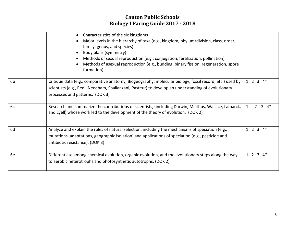|                | Characteristics of the six kingdoms<br>Major levels in the hierarchy of taxa (e.g., kingdom, phylum/division, class, order,<br>family, genus, and species)<br>Body plans (symmetry)<br>Methods of sexual reproduction (e.g., conjugation, fertilization, pollination)<br>Methods of asexual reproduction (e.g., budding, binary fission, regeneration, spore<br>formation) |                       |
|----------------|----------------------------------------------------------------------------------------------------------------------------------------------------------------------------------------------------------------------------------------------------------------------------------------------------------------------------------------------------------------------------|-----------------------|
| 6 <sub>b</sub> | Critique data (e.g., comparative anatomy, Biogeography, molecular biology, fossil record, etc.) used by<br>scientists (e.g., Redi, Needham, Spallanzani, Pasteur) to develop an understanding of evolutionary<br>processes and patterns. (DOK 3)                                                                                                                           | $1 \t2 \t3 \t4*$      |
| 6c             | Research and summarize the contributions of scientists, (including Darwin, Malthus, Wallace, Lamarck,<br>and Lyell) whose work led to the development of the theory of evolution. (DOK 2)                                                                                                                                                                                  | 4*<br>3<br>1          |
| 6d             | Analyze and explain the roles of natural selection, including the mechanisms of speciation (e.g.,<br>mutations, adaptations, geographic isolation) and applications of speciation (e.g., pesticide and<br>antibiotic resistance). (DOK 3)                                                                                                                                  | $1 2 3 4*$            |
| 6e             | Differentiate among chemical evolution, organic evolution, and the evolutionary steps along the way<br>to aerobic heterotrophs and photosynthetic autotrophs. (DOK 2)                                                                                                                                                                                                      | $1\quad2\quad3$<br>4* |